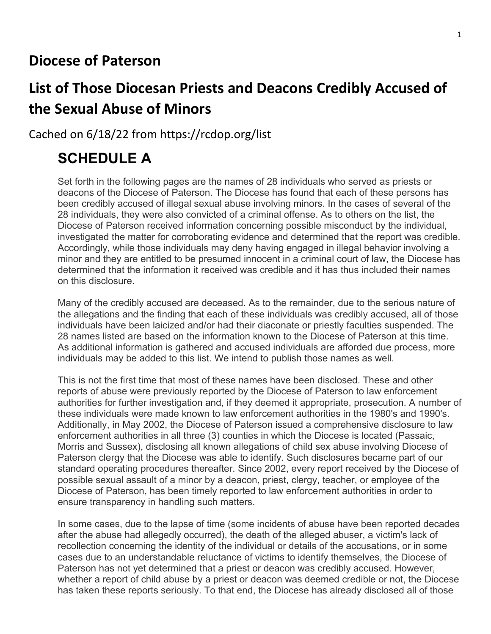## **Diocese of Paterson**

## **List of Those Diocesan Priests and Deacons Credibly Accused of the Sexual Abuse of Minors**

Cached on 6/18/22 from https://rcdop.org/list

## **SCHEDULE A**

Set forth in the following pages are the names of 28 individuals who served as priests or deacons of the Diocese of Paterson. The Diocese has found that each of these persons has been credibly accused of illegal sexual abuse involving minors. In the cases of several of the 28 individuals, they were also convicted of a criminal offense. As to others on the list, the Diocese of Paterson received information concerning possible misconduct by the individual, investigated the matter for corroborating evidence and determined that the report was credible. Accordingly, while those individuals may deny having engaged in illegal behavior involving a minor and they are entitled to be presumed innocent in a criminal court of law, the Diocese has determined that the information it received was credible and it has thus included their names on this disclosure.

Many of the credibly accused are deceased. As to the remainder, due to the serious nature of the allegations and the finding that each of these individuals was credibly accused, all of those individuals have been laicized and/or had their diaconate or priestly faculties suspended. The 28 names listed are based on the information known to the Diocese of Paterson at this time. As additional information is gathered and accused individuals are afforded due process, more individuals may be added to this list. We intend to publish those names as well.

This is not the first time that most of these names have been disclosed. These and other reports of abuse were previously reported by the Diocese of Paterson to law enforcement authorities for further investigation and, if they deemed it appropriate, prosecution. A number of these individuals were made known to law enforcement authorities in the 1980's and 1990's. Additionally, in May 2002, the Diocese of Paterson issued a comprehensive disclosure to law enforcement authorities in all three (3) counties in which the Diocese is located (Passaic, Morris and Sussex), disclosing all known allegations of child sex abuse involving Diocese of Paterson clergy that the Diocese was able to identify. Such disclosures became part of our standard operating procedures thereafter. Since 2002, every report received by the Diocese of possible sexual assault of a minor by a deacon, priest, clergy, teacher, or employee of the Diocese of Paterson, has been timely reported to law enforcement authorities in order to ensure transparency in handling such matters.

In some cases, due to the lapse of time (some incidents of abuse have been reported decades after the abuse had allegedly occurred), the death of the alleged abuser, a victim's lack of recollection concerning the identity of the individual or details of the accusations, or in some cases due to an understandable reluctance of victims to identify themselves, the Diocese of Paterson has not yet determined that a priest or deacon was credibly accused. However, whether a report of child abuse by a priest or deacon was deemed credible or not, the Diocese has taken these reports seriously. To that end, the Diocese has already disclosed all of those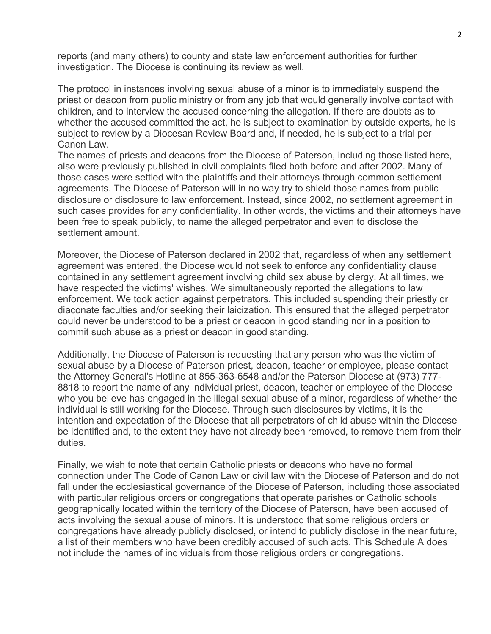reports (and many others) to county and state law enforcement authorities for further investigation. The Diocese is continuing its review as well.

The protocol in instances involving sexual abuse of a minor is to immediately suspend the priest or deacon from public ministry or from any job that would generally involve contact with children, and to interview the accused concerning the allegation. If there are doubts as to whether the accused committed the act, he is subject to examination by outside experts, he is subject to review by a Diocesan Review Board and, if needed, he is subject to a trial per Canon Law.

The names of priests and deacons from the Diocese of Paterson, including those listed here, also were previously published in civil complaints filed both before and after 2002. Many of those cases were settled with the plaintiffs and their attorneys through common settlement agreements. The Diocese of Paterson will in no way try to shield those names from public disclosure or disclosure to law enforcement. Instead, since 2002, no settlement agreement in such cases provides for any confidentiality. In other words, the victims and their attorneys have been free to speak publicly, to name the alleged perpetrator and even to disclose the settlement amount.

Moreover, the Diocese of Paterson declared in 2002 that, regardless of when any settlement agreement was entered, the Diocese would not seek to enforce any confidentiality clause contained in any settlement agreement involving child sex abuse by clergy. At all times, we have respected the victims' wishes. We simultaneously reported the allegations to law enforcement. We took action against perpetrators. This included suspending their priestly or diaconate faculties and/or seeking their laicization. This ensured that the alleged perpetrator could never be understood to be a priest or deacon in good standing nor in a position to commit such abuse as a priest or deacon in good standing.

Additionally, the Diocese of Paterson is requesting that any person who was the victim of sexual abuse by a Diocese of Paterson priest, deacon, teacher or employee, please contact the Attorney General's Hotline at 855-363-6548 and/or the Paterson Diocese at (973) 777- 8818 to report the name of any individual priest, deacon, teacher or employee of the Diocese who you believe has engaged in the illegal sexual abuse of a minor, regardless of whether the individual is still working for the Diocese. Through such disclosures by victims, it is the intention and expectation of the Diocese that all perpetrators of child abuse within the Diocese be identified and, to the extent they have not already been removed, to remove them from their duties.

Finally, we wish to note that certain Catholic priests or deacons who have no formal connection under The Code of Canon Law or civil law with the Diocese of Paterson and do not fall under the ecclesiastical governance of the Diocese of Paterson, including those associated with particular religious orders or congregations that operate parishes or Catholic schools geographically located within the territory of the Diocese of Paterson, have been accused of acts involving the sexual abuse of minors. It is understood that some religious orders or congregations have already publicly disclosed, or intend to publicly disclose in the near future, a list of their members who have been credibly accused of such acts. This Schedule A does not include the names of individuals from those religious orders or congregations.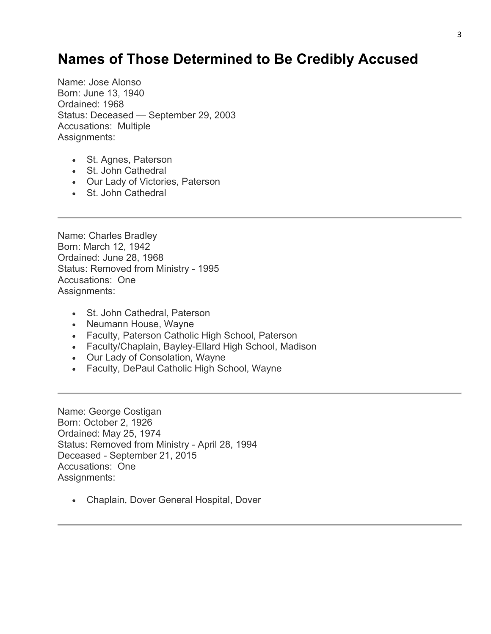## **Names of Those Determined to Be Credibly Accused**

Name: Jose Alonso Born: June 13, 1940 Ordained: 1968 Status: Deceased — September 29, 2003 Accusations: Multiple Assignments:

- St. Agnes, Paterson
- St. John Cathedral
- Our Lady of Victories, Paterson
- St. John Cathedral

Name: Charles Bradley Born: March 12, 1942 Ordained: June 28, 1968 Status: Removed from Ministry - 1995 Accusations: One Assignments:

- St. John Cathedral, Paterson
- Neumann House, Wayne
- Faculty, Paterson Catholic High School, Paterson
- Faculty/Chaplain, Bayley-Ellard High School, Madison
- Our Lady of Consolation, Wayne
- Faculty, DePaul Catholic High School, Wayne

Name: George Costigan Born: October 2, 1926 Ordained: May 25, 1974 Status: Removed from Ministry - April 28, 1994 Deceased - September 21, 2015 Accusations: One Assignments:

Chaplain, Dover General Hospital, Dover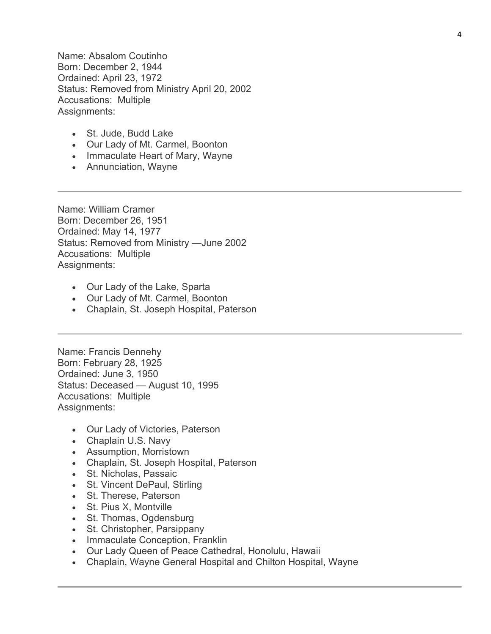Name: Absalom Coutinho Born: December 2, 1944 Ordained: April 23, 1972 Status: Removed from Ministry April 20, 2002 Accusations: Multiple Assignments:

- St. Jude, Budd Lake
- Our Lady of Mt. Carmel, Boonton
- Immaculate Heart of Mary, Wayne
- Annunciation, Wayne

Name: William Cramer Born: December 26, 1951 Ordained: May 14, 1977 Status: Removed from Ministry —June 2002 Accusations: Multiple Assignments:

- Our Lady of the Lake, Sparta
- Our Lady of Mt. Carmel, Boonton
- Chaplain, St. Joseph Hospital, Paterson

Name: Francis Dennehy Born: February 28, 1925 Ordained: June 3, 1950 Status: Deceased — August 10, 1995 Accusations: Multiple Assignments:

- Our Lady of Victories, Paterson
- Chaplain U.S. Navy
- Assumption, Morristown
- Chaplain, St. Joseph Hospital, Paterson
- St. Nicholas, Passaic
- St. Vincent DePaul, Stirling
- St. Therese, Paterson
- St. Pius X, Montville
- St. Thomas, Ogdensburg
- St. Christopher, Parsippany
- Immaculate Conception, Franklin
- Our Lady Queen of Peace Cathedral, Honolulu, Hawaii
- Chaplain, Wayne General Hospital and Chilton Hospital, Wayne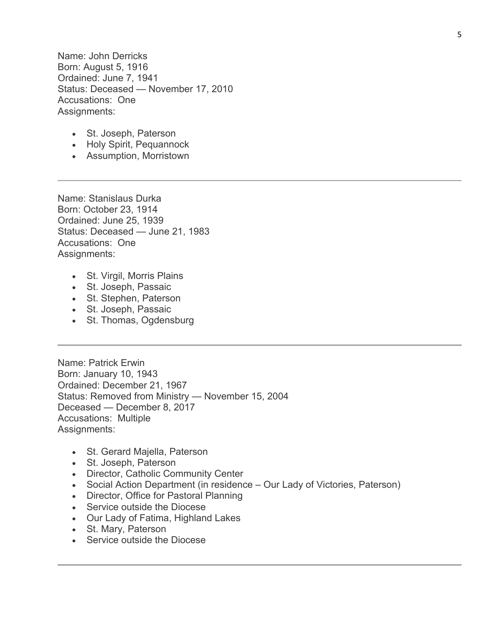Name: John Derricks Born: August 5, 1916 Ordained: June 7, 1941 Status: Deceased — November 17, 2010 Accusations: One Assignments:

- St. Joseph, Paterson
- Holy Spirit, Pequannock
- Assumption, Morristown

Name: Stanislaus Durka Born: October 23, 1914 Ordained: June 25, 1939 Status: Deceased — June 21, 1983 Accusations: One Assignments:

- St. Virgil, Morris Plains
- St. Joseph, Passaic
- St. Stephen, Paterson
- St. Joseph, Passaic
- St. Thomas, Ogdensburg

Name: Patrick Erwin Born: January 10, 1943 Ordained: December 21, 1967 Status: Removed from Ministry — November 15, 2004 Deceased — December 8, 2017 Accusations: Multiple Assignments:

- St. Gerard Majella, Paterson
- St. Joseph, Paterson
- Director, Catholic Community Center
- Social Action Department (in residence Our Lady of Victories, Paterson)
- Director, Office for Pastoral Planning
- Service outside the Diocese
- Our Lady of Fatima, Highland Lakes
- St. Mary, Paterson
- Service outside the Diocese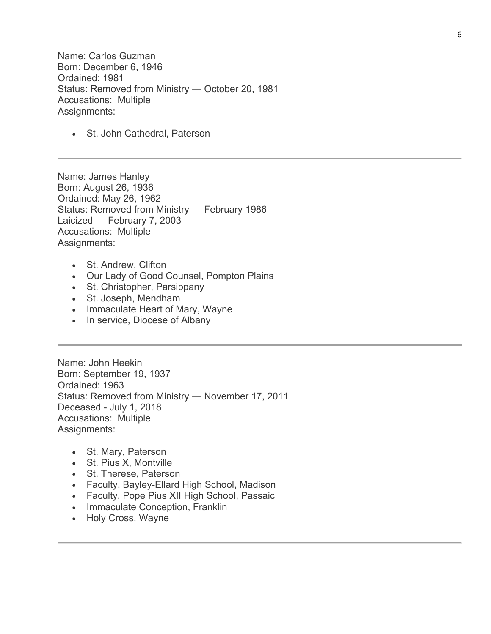Name: Carlos Guzman Born: December 6, 1946 Ordained: 1981 Status: Removed from Ministry — October 20, 1981 Accusations: Multiple Assignments:

• St. John Cathedral, Paterson

Name: James Hanley Born: August 26, 1936 Ordained: May 26, 1962 Status: Removed from Ministry — February 1986 Laicized — February 7, 2003 Accusations: Multiple Assignments:

- St. Andrew, Clifton
- Our Lady of Good Counsel, Pompton Plains
- St. Christopher, Parsippany
- St. Joseph, Mendham
- Immaculate Heart of Mary, Wayne
- In service, Diocese of Albany

Name: John Heekin Born: September 19, 1937 Ordained: 1963 Status: Removed from Ministry — November 17, 2011 Deceased - July 1, 2018 Accusations: Multiple Assignments:

- St. Mary, Paterson
- St. Pius X, Montville
- St. Therese, Paterson
- Faculty, Bayley-Ellard High School, Madison
- Faculty, Pope Pius XII High School, Passaic
- Immaculate Conception, Franklin
- Holy Cross, Wayne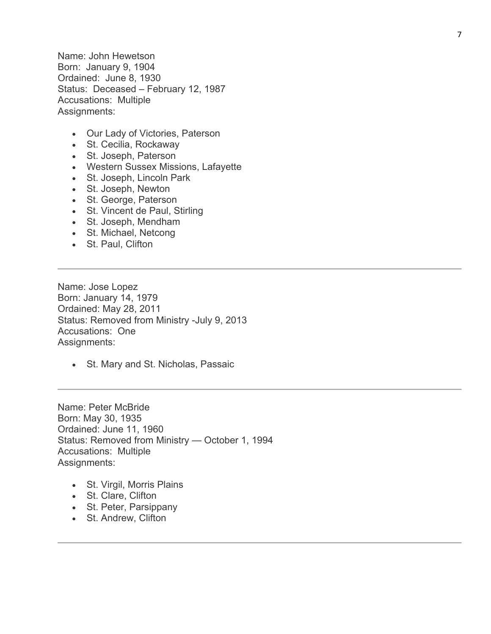Name: John Hewetson Born: January 9, 1904 Ordained: June 8, 1930 Status: Deceased – February 12, 1987 Accusations: Multiple Assignments:

- Our Lady of Victories, Paterson
- St. Cecilia, Rockaway
- St. Joseph, Paterson
- Western Sussex Missions, Lafayette
- St. Joseph, Lincoln Park
- St. Joseph, Newton
- St. George, Paterson
- St. Vincent de Paul, Stirling
- St. Joseph, Mendham
- St. Michael, Netcong
- St. Paul, Clifton

Name: Jose Lopez Born: January 14, 1979 Ordained: May 28, 2011 Status: Removed from Ministry -July 9, 2013 Accusations: One Assignments:

• St. Mary and St. Nicholas, Passaic

Name: Peter McBride Born: May 30, 1935 Ordained: June 11, 1960 Status: Removed from Ministry — October 1, 1994 Accusations: Multiple Assignments:

- St. Virgil, Morris Plains
- St. Clare, Clifton
- St. Peter, Parsippany
- St. Andrew, Clifton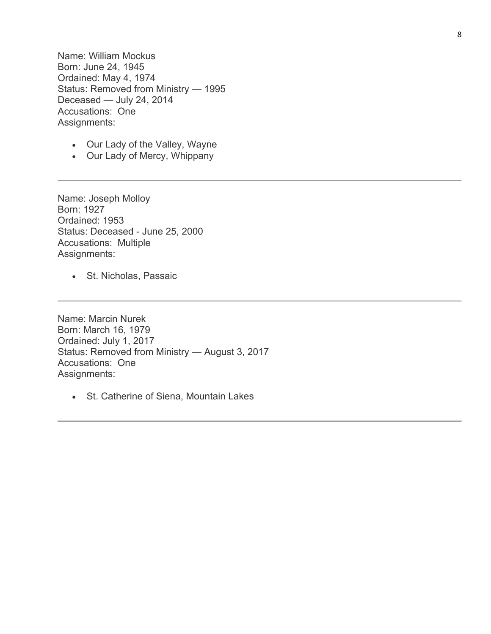Name: William Mockus Born: June 24, 1945 Ordained: May 4, 1974 Status: Removed from Ministry — 1995 Deceased — July 24, 2014 Accusations: One Assignments:

- Our Lady of the Valley, Wayne
- Our Lady of Mercy, Whippany

Name: Joseph Molloy Born: 1927 Ordained: 1953 Status: Deceased - June 25, 2000 Accusations: Multiple Assignments:

St. Nicholas, Passaic

Name: Marcin Nurek Born: March 16, 1979 Ordained: July 1, 2017 Status: Removed from Ministry — August 3, 2017 Accusations: One Assignments:

St. Catherine of Siena, Mountain Lakes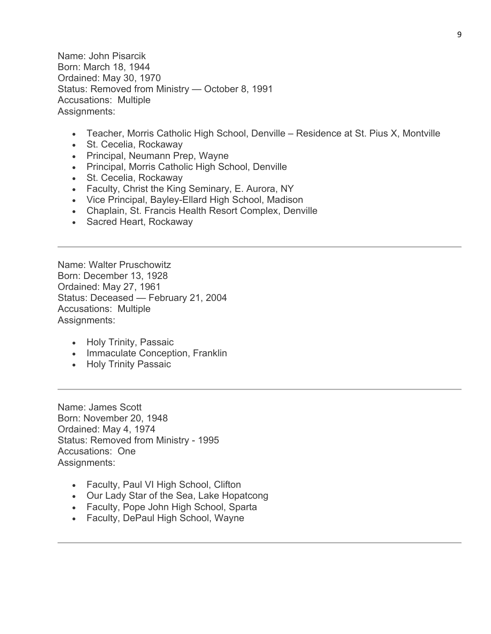Name: John Pisarcik Born: March 18, 1944 Ordained: May 30, 1970 Status: Removed from Ministry — October 8, 1991 Accusations: Multiple Assignments:

- Teacher, Morris Catholic High School, Denville Residence at St. Pius X, Montville
- St. Cecelia, Rockaway
- Principal, Neumann Prep, Wayne
- Principal, Morris Catholic High School, Denville
- St. Cecelia, Rockaway
- Faculty, Christ the King Seminary, E. Aurora, NY
- Vice Principal, Bayley-Ellard High School, Madison
- Chaplain, St. Francis Health Resort Complex, Denville
- Sacred Heart, Rockaway

Name: Walter Pruschowitz Born: December 13, 1928 Ordained: May 27, 1961 Status: Deceased — February 21, 2004 Accusations: Multiple Assignments:

- Holy Trinity, Passaic
- Immaculate Conception, Franklin
- Holy Trinity Passaic

Name: James Scott Born: November 20, 1948 Ordained: May 4, 1974 Status: Removed from Ministry - 1995 Accusations: One Assignments:

- Faculty, Paul VI High School, Clifton
- Our Lady Star of the Sea, Lake Hopatcong
- Faculty, Pope John High School, Sparta
- Faculty, DePaul High School, Wayne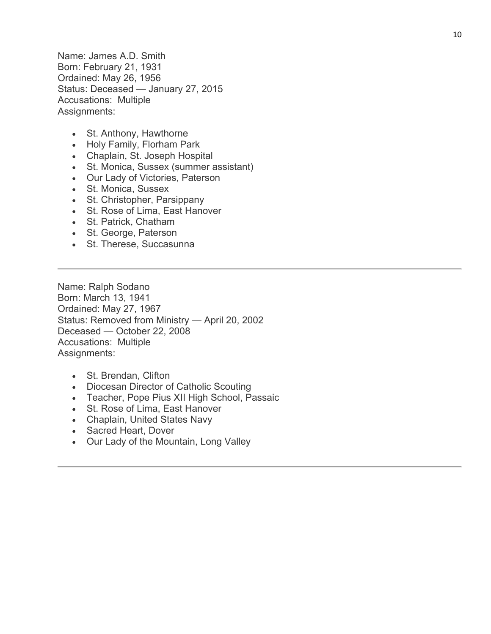Name: James A.D. Smith Born: February 21, 1931 Ordained: May 26, 1956 Status: Deceased — January 27, 2015 Accusations: Multiple Assignments:

- St. Anthony, Hawthorne
- Holy Family, Florham Park
- Chaplain, St. Joseph Hospital
- St. Monica, Sussex (summer assistant)
- Our Lady of Victories, Paterson
- St. Monica, Sussex
- St. Christopher, Parsippany
- St. Rose of Lima, East Hanover
- St. Patrick, Chatham
- St. George, Paterson
- St. Therese, Succasunna

Name: Ralph Sodano Born: March 13, 1941 Ordained: May 27, 1967 Status: Removed from Ministry — April 20, 2002 Deceased — October 22, 2008 Accusations: Multiple Assignments:

- St. Brendan, Clifton
- Diocesan Director of Catholic Scouting
- Teacher, Pope Pius XII High School, Passaic
- St. Rose of Lima, East Hanover
- Chaplain, United States Navy
- Sacred Heart, Dover
- Our Lady of the Mountain, Long Valley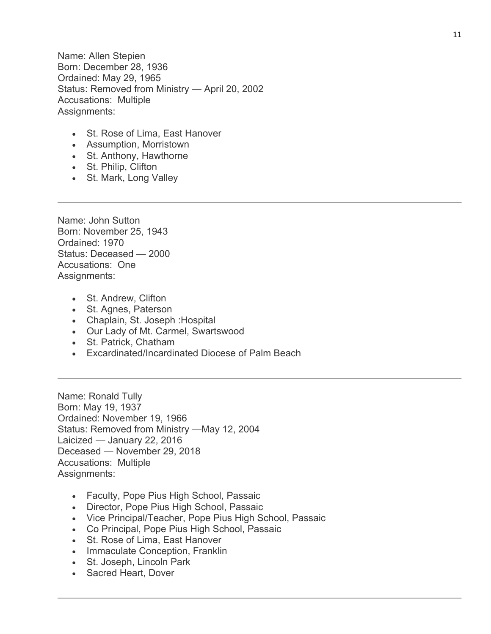Name: Allen Stepien Born: December 28, 1936 Ordained: May 29, 1965 Status: Removed from Ministry — April 20, 2002 Accusations: Multiple Assignments:

- St. Rose of Lima, East Hanover
- Assumption, Morristown
- St. Anthony, Hawthorne
- St. Philip, Clifton
- St. Mark, Long Valley

Name: John Sutton Born: November 25, 1943 Ordained: 1970 Status: Deceased — 2000 Accusations: One Assignments:

- St. Andrew, Clifton
- St. Agnes, Paterson
- Chaplain, St. Joseph :Hospital
- Our Lady of Mt. Carmel, Swartswood
- St. Patrick, Chatham
- Excardinated/Incardinated Diocese of Palm Beach

Name: Ronald Tully Born: May 19, 1937 Ordained: November 19, 1966 Status: Removed from Ministry —May 12, 2004 Laicized — January 22, 2016 Deceased — November 29, 2018 Accusations: Multiple Assignments:

- Faculty, Pope Pius High School, Passaic
- Director, Pope Pius High School, Passaic
- Vice Principal/Teacher, Pope Pius High School, Passaic
- Co Principal, Pope Pius High School, Passaic
- St. Rose of Lima, East Hanover
- Immaculate Conception, Franklin
- St. Joseph, Lincoln Park
- Sacred Heart, Dover